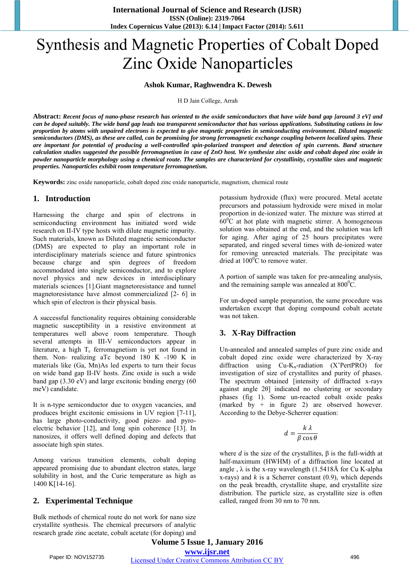# Synthesis and Magnetic Properties of Cobalt Doped Zinc Oxide Nanoparticles

#### **Ashok Kumar, Raghwendra K. Dewesh**

H D Jain College, Arrah

**Abstract:** *Recent focus of nano-phase research has oriented to the oxide semiconductors that have wide band gap [around 3 eV] and can be doped suitably. The wide band gap leads toa transparent semiconductor that has various applications. Substituting cations in low proportion by atoms with unpaired electrons is expected to give magnetic properties in semiconducting environment. Diluted magnetic semiconductors (DMS), as these are called, can be promising for strong ferromagnetic exchange coupling between localized spins. These are important for potential of producing a well-controlled spin-polarized transport and detection of spin currents. Band structure calculation studies suggested the possible ferromagnetism in case of ZnO host. We synthesize zinc oxide and cobalt doped zinc oxide in powder nanoparticle morphology using a chemical route. The samples are characterized for crystallinity, crystallite sizes and magnetic properties. Nanoparticles exhibit room temperature ferromagnetism.*

**Keywords:** zinc oxide nanoparticle, cobalt doped zinc oxide nanoparticle, magnetism, chemical route

## **1. Introduction**

Harnessing the charge and spin of electrons in semiconducting environment has initiated word wide research on II-IV type hosts with dilute magnetic impurity. Such materials, known as Diluted magnetic semiconductor (DMS) are expected to play an important role in interdisciplinary materials science and future spintronics because charge and spin degrees of freedom accommodated into single semiconductor, and to explore novel physics and new devices in interdisciplinary materials sciences [1].Giant magnetoresistance and tunnel magnetoresistance have almost commercialized [2- 6] in which spin of electron is their physical basis.

A successful functionality requires obtaining considerable magnetic susceptibility in a resistive environment at temperatures well above room temperature. Though several attempts in III-V semiconductors appear in literature, a high  $T_c$  ferromagnetism is yet not found in them. Non- realizing aTc beyond 180 K -190 K in materials like (Ga, Mn)As led experts to turn their focus on wide band gap II-IV hosts. Zinc oxide is such a wide band gap (3.30 eV) and large excitonic binding energy (60 meV) candidate.

It is n-type semiconductor due to oxygen vacancies, and produces bright excitonic emissions in UV region [7-11], has large photo-conductivity, good piezo- and pyroelectric behavior [12], and long spin coherence [13]. In nanosizes, it offers well defined doping and defects that associate high spin states.

Among various transition elements, cobalt doping appeared promising due to abundant electron states, large solubility in host, and the Curie temperature as high as 1400 K[14-16].

## **2. Experimental Technique**

Bulk methods of chemical route do not work for nano size crystallite synthesis. The chemical precursors of analytic research grade zinc acetate, cobalt acetate (for doping) and potassium hydroxide (flux) were procured. Metal acetate precursors and potassium hydroxide were mixed in molar proportion in de-ionized water. The mixture was stirred at  $60^{\circ}$ C at hot plate with magnetic stirrer. A homogeneous solution was obtained at the end, and the solution was left for aging. After aging of 25 hours precipitates were separated, and ringed several times with de-ionized water for removing unreacted materials. The precipitate was dried at  $100^{\circ}$ C to remove water.

A portion of sample was taken for pre-annealing analysis, and the remaining sample was annealed at  $800^{\circ}$ C.

For un-doped sample preparation, the same procedure was undertaken except that doping compound cobalt acetate was not taken.

#### **3. X-Ray Diffraction**

Un-annealed and annealed samples of pure zinc oxide and cobalt doped zinc oxide were characterized by X-ray diffraction using  $Cu-K_{\alpha}$ -radiation (X'PertPRO) for investigation of size of crystallites and purity of phases. The spectrum obtained [intensity of diffracted x-rays against angle 2θ] indicated no clustering or secondary phases (fig 1). Some un-reacted cobalt oxide peaks (marked by  $+$  in figure 2) are observed however. According to the Debye-Scherrer equation:

$$
d = \frac{k \lambda}{\beta \cos \theta}
$$

where  $d$  is the size of the crystallites,  $\beta$  is the full-width at half-maximum (HWHM) of a diffraction line located at angle,  $\lambda$  is the x-ray wavelength (1.5418Å for Cu K-alpha x-rays) and *k* is a Scherrer constant (0.9), which depends on the peak breadth, crystallite shape, and crystallite size distribution. The particle size, as crystallite size is often called, ranged from 30 nm to 70 nm.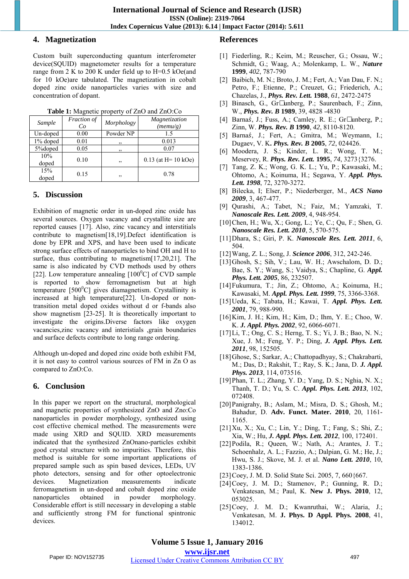## **4. Magnetization**

Custom built superconducting quantum interferometer device(SQUID) magnetometer results for a temperature range from 2 K to 200 K under field up to H=0.5 kOe(and for 10 kOe)are tabulated. The magnetization in cobalt doped zinc oxide nanoparticles varies with size and concentration of dopant.

| Sample       | Fraction of<br>Co | Morphology | Magnetization<br>(memu/g) |
|--------------|-------------------|------------|---------------------------|
| Un-doped     | 0.00              | Powder NP  | 1.5                       |
| 1% doped     | 0.01              | ,,         | 0.013                     |
| 5%doped      | 0.05              | ,,         | 0.07                      |
| 10%<br>doped | 0.10              | ,,         | $0.13$ (at H = 10 kOe)    |
| 15%<br>doped | 0.15              | ,,         | 0.78                      |

**Table 1:** Magnetic property of ZnO and ZnO:Co

# **5. Discussion**

Exhibition of magnetic order in un-doped zinc oxide has several sources. Oxygen vacancy and crystallite size are reported causes [17]. Also, zinc vacancy and interstitials contribute to magnetism[18,19].Defect identification is done by EPR and XPS, and have been used to indicate strong surface effects of nanoparticles to bind OH and H to surface, thus contributing to magnetism[17,20,21]. The same is also indicated by CVD methods used by others [22]. Low temperature annealing  $[100^{\circ}C]$  of CVD sample is reported to show ferromagnetism but at high temperature  $[500^0C]$  gives diamagnetism. Crystallinity is increased at high temperature[22]. Un-doped or nontransition metal doped oxides without d or f-bands also show magnetism [23-25]. It is theoretically important to investigate the origins.Diverse factors like oxygen vacancies,zinc vacancy and interistials ,grain boundaries and surface defects contribute to long range ordering.

Although un-doped and doped zinc oxide both exhibit FM, it is not easy to control various sources of FM in Zn O as compared to ZnO:Co.

# **6. Conclusion**

In this paper we report on the structural, morphological and magnetic properties of synthesized ZnO and Zno:Co nanoparticles in powder morphology, synthesized using cost effective chemical method. The measurements were made using XRD and SQUID. XRD measurements indicated that the synthesized ZnOnano-particles exhibit good crystal structure with no impurities. Therefore, this method is suitable for some important applications of prepared sample such as spin based devices, LEDs, UV photo detectors, sensing and for other optoelectronic devices. Magnetization measurements indicate ferromagnetism in un-doped and cobalt doped zinc oxide nanoparticles obtained in powder morphology. Considerable effort is still necessary in developing a stable and sufficiently strong FM for functional spintronic devices.

# **References**

- [1] Fiederling, R.; Keim, M.; Reuscher, G.; Ossau, W.; Schmidt, G.; Waag, A.; Molenkamp, L. W., *Nature*  **1999**, *402*, 787-790
- [2] Baibich, M. N.; Broto, J. M.; Fert, A.; Van Dau, F. N.; Petro, F.; Etienne, P.; Creuzet, G.; Friederich, A.; Chazelas, J., *Phys. Rev. Lett.* **1988**, *61*, 2472-2475
- [3] Binasch, G., Gr• unberg, P.; Saurenbach, F.; Zinn, W., *Phys. Rev. B* **1989**, 39, 4828 -4830
- [4] Barnas, J.; Fuss, A.; Camley, R. E.; Gr• unberg, P.; Zinn, W. *Phys. Rev. B* **1990**, *42*, 8110-8120.
- [5] Barnaś, J.; Fert, A.; Gmitra, M.; Weymann, I.; Dugaev, V. K**.** *Phys. Rev. B* **2005**, *72*, 024426.
- [6] Moodera, J. S.; Kinder, L. R.; Wong, T. M.; Meservey, R. *Phys. Rev. Lett.* **1995**, *74*, 3273{3276.
- [7] Tang, Z. K.; Wong, G. K. L.; Yu, P.; Kawasaki, M.; Ohtomo, A.; Koinuma, H.; Segawa, Y. *Appl. Phys. Lett. 1998*, 72, 3270-3272.
- [8] Bilecka, I; Elser, P.; Niederberger, M., *ACS Nano 2009*, 3, 467-477.
- [9] Qurashi, A.; Tabet, N.; Faiz, M.; Yamzaki, T. *Nanoscale Res. Lett. 2009*, 4, 948-954.
- [10]Chen, H.; Wu, X.; Gong, L.; Ye, C.; Qu, F.; Shen, G. *Nanoscale Res. Lett. 2010*, 5, 570-575.
- [11]Dhara, S.; Giri, P. K. *Nanoscale Res. Lett. 2011*, 6, 504.
- [12]Wang, Z. L.; Song, J. *Science 2006*, 312, 242-246.
- [13]Ghosh, S.; Sih, V.; Lau, W. H.; Awschalom, D. D.; Bae, S. Y.; Wang, S.; Vaidya, S.; Chapline, G. *Appl. Phys. Lett. 2005*, 86, 232507.
- [14]Fukumura, T.; Jin, Z.; Ohtomo, A.; Koinuma, H.; Kawasaki, M. *Appl. Phys. Lett. 1999*, 75, 3366-3368.
- [15]Ueda, K.; Tabata, H.; Kawai, T. *Appl. Phys. Lett. 2001*, 79, 988-990.
- [16]Kim, J. H.; Kim, H.; Kim, D.; Ihm, Y. E.; Choo, W. K. *J. Appl. Phys. 2002*, 92, 6066-6071.
- [17]Li, T.; Ong, C. S.; Herng, T. S.; Yi, J. B.; Bao, N. N.; Xue, J. M.; Feng, Y. P.; Ding, *J. Appl. Phys. Lett. 2011*, 98, 152505.
- [18]Ghose, S.; Sarkar, A.; Chattopadhyay, S.; Chakrabarti, M.; Das, D.; Rakshit, T.; Ray, S. K.; Jana, D. *J. Appl. Phys. 2013*, 114, 073516.
- [19]Phan, T. L.; Zhang, Y. D.; Yang, D. S.; Nghia, N. X.; Thanh, T. D.; Yu, S. C. *Appl. Phys. Lett. 2013*, 102, 072408.
- [20]Panigrahy, B.; Aslam, M.; Misra, D. S.; Ghosh, M.; Bahadur, D. **Adv. Funct. Mater. 2010**, 20, 1161- 1165.
- [21]Xu, X.; Xu, C.; Lin, Y.; Ding, T.; Fang, S.; Shi, Z.; Xia, W.; Hu, *J. Appl. Phys. Lett. 2012*, 100, 172401.
- [22]Podila, R.; Queen, W.; Nath, A.; Arantes, J. T.; Schoenhalz, A. L.; Fazzio, A.; Dalpian, G. M.; He, J.; Hwu, S. J.; Skove, M. J. et al. *Nano Lett. 2010*, 10, 1383-1386.
- [23]Coey, J. M. D. Solid State Sci. 2005, 7, 660{667.
- [24]Coey, J. M. D.; Stamenov, P.; Gunning, R. D.; Venkatesan, M.; Paul, K. **New J. Phys. 2010**, 12, 053025.
- [25]Coey, J. M. D.; Kwanruthai, W.; Alaria, J.; Venkatesan, M. **J. Phys. D Appl. Phys. 2008**, 41, 134012.